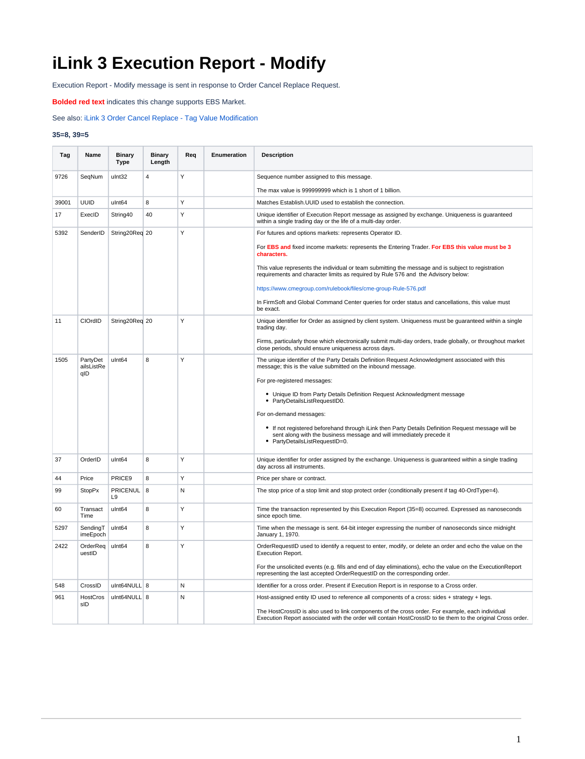## **iLink 3 Execution Report - Modify**

Execution Report - Modify message is sent in response to Order Cancel Replace Request.

**Bolded red text** indicates this change supports EBS Market.

See also: [iLink 3 Order Cancel Replace - Tag Value Modification](https://www.cmegroup.com/confluence/display/EPICSANDBOX/iLink+3+Order+Cancel+Replace+-+Tag+Value+Modification)

## **35=8, 39=5**

| Tag   | Name                          | <b>Binary</b><br><b>Type</b>      | <b>Binary</b><br>Length | Req | Enumeration | <b>Description</b>                                                                                                                                                                                               |
|-------|-------------------------------|-----------------------------------|-------------------------|-----|-------------|------------------------------------------------------------------------------------------------------------------------------------------------------------------------------------------------------------------|
| 9726  | SeqNum                        | ulnt32                            | 4                       | Y   |             | Sequence number assigned to this message.                                                                                                                                                                        |
|       |                               |                                   |                         |     |             | The max value is 999999999 which is 1 short of 1 billion.                                                                                                                                                        |
| 39001 | <b>UUID</b>                   | ulnt <sub>64</sub>                | 8                       | Y   |             | Matches Establish. UUID used to establish the connection.                                                                                                                                                        |
| 17    | ExecID                        | String40                          | 40                      | Y   |             | Unique identifier of Execution Report message as assigned by exchange. Uniqueness is quaranteed<br>within a single trading day or the life of a multi-day order.                                                 |
| 5392  | SenderID                      | String20Req 20                    |                         | Y   |             | For futures and options markets: represents Operator ID.                                                                                                                                                         |
|       |                               |                                   |                         |     |             | For EBS and fixed income markets: represents the Entering Trader. For EBS this value must be 3<br>characters.                                                                                                    |
|       |                               |                                   |                         |     |             | This value represents the individual or team submitting the message and is subject to registration<br>requirements and character limits as required by Rule 576 and the Advisory below:                          |
|       |                               |                                   |                         |     |             | https://www.cmegroup.com/rulebook/files/cme-group-Rule-576.pdf                                                                                                                                                   |
|       |                               |                                   |                         |     |             | In FirmSoft and Global Command Center queries for order status and cancellations, this value must<br>be exact.                                                                                                   |
| 11    | CIOrdID                       | String20Req 20                    |                         | Y   |             | Unique identifier for Order as assigned by client system. Uniqueness must be guaranteed within a single<br>trading day.                                                                                          |
|       |                               |                                   |                         |     |             | Firms, particularly those which electronically submit multi-day orders, trade globally, or throughout market<br>close periods, should ensure uniqueness across days.                                             |
| 1505  | PartyDet<br>ailsListRe<br>qID | ulnt <sub>64</sub>                | 8                       | Y   |             | The unique identifier of the Party Details Definition Request Acknowledgment associated with this<br>message; this is the value submitted on the inbound message.                                                |
|       |                               |                                   |                         |     |             | For pre-registered messages:                                                                                                                                                                                     |
|       |                               |                                   |                         |     |             | • Unique ID from Party Details Definition Request Acknowledgment message<br>• PartyDetailsListRequestID0.                                                                                                        |
|       |                               |                                   |                         |     |             | For on-demand messages:                                                                                                                                                                                          |
|       |                               |                                   |                         |     |             | • If not registered beforehand through iLink then Party Details Definition Request message will be<br>sent along with the business message and will immediately precede it<br>• PartyDetailsListRequestID=0.     |
| 37    | OrderID                       | ulnt <sub>64</sub>                | 8                       | Y   |             | Unique identifier for order assigned by the exchange. Uniqueness is guaranteed within a single trading<br>day across all instruments.                                                                            |
| 44    | Price                         | PRICE9                            | 8                       | Υ   |             | Price per share or contract.                                                                                                                                                                                     |
| 99    | <b>StopPx</b>                 | <b>PRICENUL</b><br>L <sub>9</sub> | 8                       | N   |             | The stop price of a stop limit and stop protect order (conditionally present if tag 40-OrdType=4).                                                                                                               |
| 60    | Transact<br>Time              | ulnt <sub>64</sub>                | 8                       | Y   |             | Time the transaction represented by this Execution Report (35=8) occurred. Expressed as nanoseconds<br>since epoch time.                                                                                         |
| 5297  | SendingT<br>imeEpoch          | ulnt64                            | 8                       | Y   |             | Time when the message is sent. 64-bit integer expressing the number of nanoseconds since midnight<br>January 1, 1970.                                                                                            |
| 2422  | OrderReq<br>uestID            | ulnt64                            | 8                       | Y   |             | OrderRequestID used to identify a request to enter, modify, or delete an order and echo the value on the<br>Execution Report.                                                                                    |
|       |                               |                                   |                         |     |             | For the unsolicited events (e.g. fills and end of day eliminations), echo the value on the ExecutionReport<br>representing the last accepted OrderRequestID on the corresponding order.                          |
| 548   | CrossID                       | ulnt64NULL 8                      |                         | N   |             | Identifier for a cross order. Present if Execution Report is in response to a Cross order.                                                                                                                       |
| 961   | HostCros<br>sID               | ulnt64NULL 8                      |                         | N   |             | Host-assigned entity ID used to reference all components of a cross: sides + strategy + legs.                                                                                                                    |
|       |                               |                                   |                         |     |             | The HostCrossID is also used to link components of the cross order. For example, each individual<br>Execution Report associated with the order will contain HostCrossID to tie them to the original Cross order. |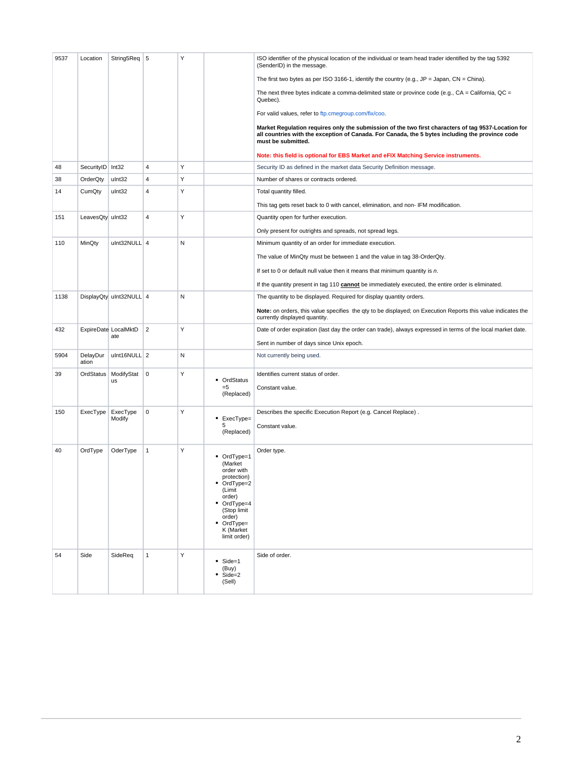| 9537 | Location          | String5Req 5                |                | Υ |                                                                                                                                                                           | ISO identifier of the physical location of the individual or team head trader identified by the tag 5392<br>(SenderID) in the message.                                                                                       |
|------|-------------------|-----------------------------|----------------|---|---------------------------------------------------------------------------------------------------------------------------------------------------------------------------|------------------------------------------------------------------------------------------------------------------------------------------------------------------------------------------------------------------------------|
|      |                   |                             |                |   |                                                                                                                                                                           | The first two bytes as per ISO 3166-1, identify the country (e.g., $JP = Japan$ , $CN = China$ ).                                                                                                                            |
|      |                   |                             |                |   |                                                                                                                                                                           | The next three bytes indicate a comma-delimited state or province code (e.g., $CA = California$ , $QC =$<br>Quebec).                                                                                                         |
|      |                   |                             |                |   |                                                                                                                                                                           | For valid values, refer to ftp.cmegroup.com/fix/coo.                                                                                                                                                                         |
|      |                   |                             |                |   |                                                                                                                                                                           | Market Regulation requires only the submission of the two first characters of tag 9537-Location for<br>all countries with the exception of Canada. For Canada, the 5 bytes including the province code<br>must be submitted. |
|      |                   |                             |                |   |                                                                                                                                                                           | Note: this field is optional for EBS Market and eFIX Matching Service instruments.                                                                                                                                           |
| 48   | SecurityID Int32  |                             | 4              | Υ |                                                                                                                                                                           | Security ID as defined in the market data Security Definition message.                                                                                                                                                       |
| 38   | OrderQty          | ulnt32                      | 4              | Υ |                                                                                                                                                                           | Number of shares or contracts ordered.                                                                                                                                                                                       |
| 14   | CumQty            | ulnt32                      | 4              | Υ |                                                                                                                                                                           | Total quantity filled.                                                                                                                                                                                                       |
|      |                   |                             |                |   |                                                                                                                                                                           | This tag gets reset back to 0 with cancel, elimination, and non-IFM modification.                                                                                                                                            |
| 151  | LeavesQty uInt32  |                             | $\overline{4}$ | Y |                                                                                                                                                                           | Quantity open for further execution.                                                                                                                                                                                         |
|      |                   |                             |                |   |                                                                                                                                                                           | Only present for outrights and spreads, not spread legs.                                                                                                                                                                     |
| 110  | MinQty            | ulnt32NULL 4                |                | N |                                                                                                                                                                           | Minimum quantity of an order for immediate execution.                                                                                                                                                                        |
|      |                   |                             |                |   |                                                                                                                                                                           | The value of MinQty must be between 1 and the value in tag 38-OrderQty.                                                                                                                                                      |
|      |                   |                             |                |   |                                                                                                                                                                           | If set to 0 or default null value then it means that minimum quantity is $n$ .                                                                                                                                               |
|      |                   |                             |                |   |                                                                                                                                                                           |                                                                                                                                                                                                                              |
|      |                   |                             |                | N |                                                                                                                                                                           | If the quantity present in tag 110 cannot be immediately executed, the entire order is eliminated.                                                                                                                           |
| 1138 |                   | DisplayQty uInt32NULL 4     |                |   |                                                                                                                                                                           | The quantity to be displayed. Required for display quantity orders.                                                                                                                                                          |
|      |                   |                             |                |   |                                                                                                                                                                           | Note: on orders, this value specifies the qty to be displayed; on Execution Reports this value indicates the<br>currently displayed quantity.                                                                                |
| 432  |                   | ExpireDate LocalMktD<br>ate | $\overline{2}$ | Υ |                                                                                                                                                                           | Date of order expiration (last day the order can trade), always expressed in terms of the local market date.                                                                                                                 |
|      |                   |                             |                |   |                                                                                                                                                                           | Sent in number of days since Unix epoch.                                                                                                                                                                                     |
| 5904 | DelayDur<br>ation | ulnt16NULL 2                |                | N |                                                                                                                                                                           | Not currently being used.                                                                                                                                                                                                    |
| 39   | OrdStatus         | ModifyStat<br>us            | $\mathbf 0$    | Υ | • OrdStatus                                                                                                                                                               | Identifies current status of order.                                                                                                                                                                                          |
|      |                   |                             |                |   | $= 5$<br>(Replaced)                                                                                                                                                       | Constant value.                                                                                                                                                                                                              |
|      |                   |                             |                |   |                                                                                                                                                                           |                                                                                                                                                                                                                              |
| 150  | ExecType          | ExecType<br>Modify          | 0              | Υ | ٠<br>ExecType=                                                                                                                                                            | Describes the specific Execution Report (e.g. Cancel Replace).                                                                                                                                                               |
|      |                   |                             |                |   | 5<br>(Replaced)                                                                                                                                                           | Constant value.                                                                                                                                                                                                              |
|      |                   |                             |                |   |                                                                                                                                                                           |                                                                                                                                                                                                                              |
| 40   | OrdType           | OderType                    | $\mathbf{1}$   | Υ | • OrdType=1<br>(Market<br>order with<br>protection)<br>• OrdType=2<br>(Limit<br>order)<br>• OrdType=4<br>(Stop limit<br>order)<br>• OrdType=<br>K (Market<br>limit order) | Order type.                                                                                                                                                                                                                  |
| 54   | Side              | SideReq                     | $\mathbf{1}$   | Υ | $\bullet$ Side=1<br>(Buy)<br>Side=2<br>(Sell)                                                                                                                             | Side of order.                                                                                                                                                                                                               |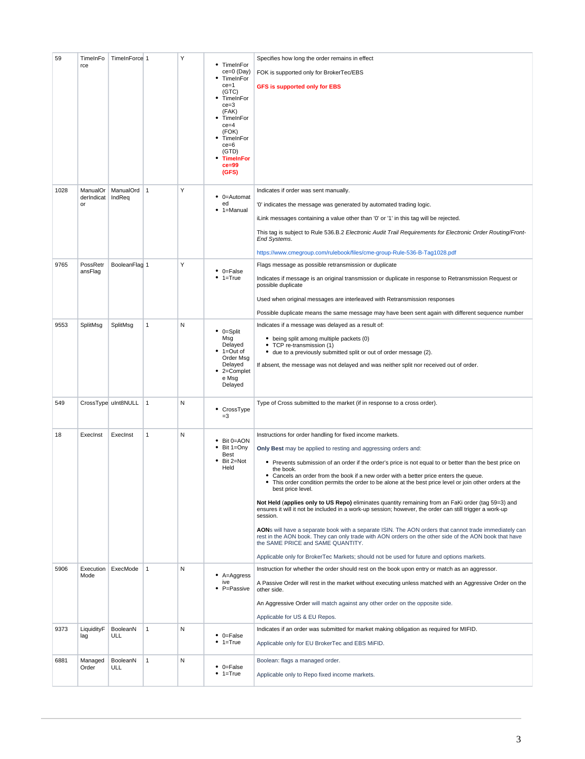| 59   | TimeInFo<br>rce              | TimeInForce 1         |              | Υ | TimeInFor<br>ce=0 (Day)<br>TimeInFor<br>$ce = 1$<br>(GTC)<br>TimeInFor<br>$ce = 3$<br>(FAK)<br>TimeInFor<br>$ce = 4$<br>(FOK)<br>TimeInFor<br>$ce = 6$<br>(GTD)<br><b>TimeInFor</b><br>$ce = 99$<br>(GFS) | Specifies how long the order remains in effect<br>FOK is supported only for BrokerTec/EBS<br><b>GFS is supported only for EBS</b>                                                                                                                                                                                                                                                                                                                                                                                                                                                                                                                                                                                                                                                                                                                                                                                                                                                                                                                            |
|------|------------------------------|-----------------------|--------------|---|-----------------------------------------------------------------------------------------------------------------------------------------------------------------------------------------------------------|--------------------------------------------------------------------------------------------------------------------------------------------------------------------------------------------------------------------------------------------------------------------------------------------------------------------------------------------------------------------------------------------------------------------------------------------------------------------------------------------------------------------------------------------------------------------------------------------------------------------------------------------------------------------------------------------------------------------------------------------------------------------------------------------------------------------------------------------------------------------------------------------------------------------------------------------------------------------------------------------------------------------------------------------------------------|
| 1028 | ManualOr<br>derIndicat<br>or | ManualOrd 1<br>IndReq |              | Υ | • 0=Automat<br>ed<br>1=Manual                                                                                                                                                                             | Indicates if order was sent manually.<br>'0' indicates the message was generated by automated trading logic.<br>iLink messages containing a value other than '0' or '1' in this tag will be rejected.<br>This tag is subject to Rule 536.B.2 Electronic Audit Trail Requirements for Electronic Order Routing/Front-<br>End Systems.<br>https://www.cmegroup.com/rulebook/files/cme-group-Rule-536-B-Tag1028.pdf                                                                                                                                                                                                                                                                                                                                                                                                                                                                                                                                                                                                                                             |
| 9765 | PossRetr<br>ansFlag          | BooleanFlag 1         |              | Υ | $\bullet$ 0=False<br>$• 1 = True$                                                                                                                                                                         | Flags message as possible retransmission or duplicate<br>Indicates if message is an original transmission or duplicate in response to Retransmission Request or<br>possible duplicate<br>Used when original messages are interleaved with Retransmission responses<br>Possible duplicate means the same message may have been sent again with different sequence number                                                                                                                                                                                                                                                                                                                                                                                                                                                                                                                                                                                                                                                                                      |
| 9553 | SplitMsg                     | SplitMsg              | $\mathbf{1}$ | N | $\bullet$ 0=Split<br>Msg<br>Delayed<br>$• 1 = Out of$<br>Order Msg<br>Delayed<br>2=Complet<br>e Msg<br>Delayed                                                                                            | Indicates if a message was delayed as a result of:<br>• being split among multiple packets (0)<br>• TCP re-transmission (1)<br>• due to a previously submitted split or out of order message (2).<br>If absent, the message was not delayed and was neither split nor received out of order.                                                                                                                                                                                                                                                                                                                                                                                                                                                                                                                                                                                                                                                                                                                                                                 |
| 549  |                              | CrossType uInt8NULL   | $\mathbf{1}$ | N | • CrossType<br>$=3$                                                                                                                                                                                       | Type of Cross submitted to the market (if in response to a cross order).                                                                                                                                                                                                                                                                                                                                                                                                                                                                                                                                                                                                                                                                                                                                                                                                                                                                                                                                                                                     |
| 18   | ExecInst                     | ExecInst              | $\mathbf{1}$ | N | Bit 0=AON<br>Bit 1=Ony<br><b>Best</b><br>Bit 2=Not<br>Held                                                                                                                                                | Instructions for order handling for fixed income markets.<br>Only Best may be applied to resting and aggressing orders and:<br>• Prevents submission of an order if the order's price is not equal to or better than the best price on<br>the book.<br>• Cancels an order from the book if a new order with a better price enters the queue.<br>This order condition permits the order to be alone at the best price level or join other orders at the<br>best price level.<br>Not Held (applies only to US Repo) eliminates quantity remaining from an FaKi order (tag 59=3) and<br>ensures it will it not be included in a work-up session; however, the order can still trigger a work-up<br>session.<br>AONs will have a separate book with a separate ISIN. The AON orders that cannot trade immediately can<br>rest in the AON book. They can only trade with AON orders on the other side of the AON book that have<br>the SAME PRICE and SAME QUANTITY.<br>Applicable only for BrokerTec Markets; should not be used for future and options markets. |
| 5906 | Execution<br>Mode            | ExecMode              | $\mathbf{1}$ | N | • A=Aggress<br>ive<br>• P=Passive                                                                                                                                                                         | Instruction for whether the order should rest on the book upon entry or match as an aggressor.<br>A Passive Order will rest in the market without executing unless matched with an Aggressive Order on the<br>other side.<br>An Aggressive Order will match against any other order on the opposite side.<br>Applicable for US & EU Repos.                                                                                                                                                                                                                                                                                                                                                                                                                                                                                                                                                                                                                                                                                                                   |
| 9373 | LiquidityF<br>lag            | BooleanN<br>ULL       | $\mathbf{1}$ | N | $\bullet$ 0=False<br>$1 = True$<br>٠                                                                                                                                                                      | Indicates if an order was submitted for market making obligation as required for MIFID.<br>Applicable only for EU BrokerTec and EBS MiFID.                                                                                                                                                                                                                                                                                                                                                                                                                                                                                                                                                                                                                                                                                                                                                                                                                                                                                                                   |
| 6881 | Managed<br>Order             | BooleanN<br>ULL       | $\mathbf{1}$ | Ν | $\bullet$ 0=False<br>$• 1 = True$                                                                                                                                                                         | Boolean: flags a managed order.<br>Applicable only to Repo fixed income markets.                                                                                                                                                                                                                                                                                                                                                                                                                                                                                                                                                                                                                                                                                                                                                                                                                                                                                                                                                                             |